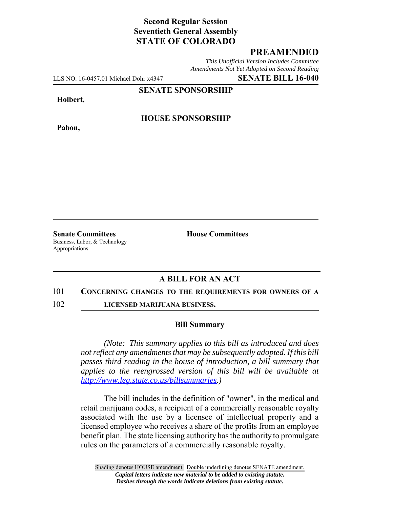# **Second Regular Session Seventieth General Assembly STATE OF COLORADO**

## **PREAMENDED**

*This Unofficial Version Includes Committee Amendments Not Yet Adopted on Second Reading*

LLS NO. 16-0457.01 Michael Dohr x4347 **SENATE BILL 16-040**

**SENATE SPONSORSHIP**

**Holbert,**

**Pabon,**

**HOUSE SPONSORSHIP**

**Senate Committees House Committees** Business, Labor, & Technology Appropriations

### **A BILL FOR AN ACT**

### 101 **CONCERNING CHANGES TO THE REQUIREMENTS FOR OWNERS OF A**

102 **LICENSED MARIJUANA BUSINESS.**

### **Bill Summary**

*(Note: This summary applies to this bill as introduced and does not reflect any amendments that may be subsequently adopted. If this bill passes third reading in the house of introduction, a bill summary that applies to the reengrossed version of this bill will be available at http://www.leg.state.co.us/billsummaries.)*

The bill includes in the definition of "owner", in the medical and retail marijuana codes, a recipient of a commercially reasonable royalty associated with the use by a licensee of intellectual property and a licensed employee who receives a share of the profits from an employee benefit plan. The state licensing authority has the authority to promulgate rules on the parameters of a commercially reasonable royalty.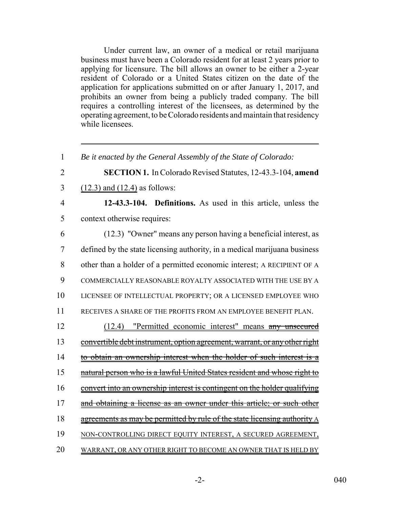Under current law, an owner of a medical or retail marijuana business must have been a Colorado resident for at least 2 years prior to applying for licensure. The bill allows an owner to be either a 2-year resident of Colorado or a United States citizen on the date of the application for applications submitted on or after January 1, 2017, and prohibits an owner from being a publicly traded company. The bill requires a controlling interest of the licensees, as determined by the operating agreement, to be Colorado residents and maintain that residency while licensees.

 *Be it enacted by the General Assembly of the State of Colorado:* **SECTION 1.** In Colorado Revised Statutes, 12-43.3-104, **amend** (12.3) and (12.4) as follows: **12-43.3-104. Definitions.** As used in this article, unless the context otherwise requires: (12.3) "Owner" means any person having a beneficial interest, as defined by the state licensing authority, in a medical marijuana business other than a holder of a permitted economic interest; A RECIPIENT OF A COMMERCIALLY REASONABLE ROYALTY ASSOCIATED WITH THE USE BY A LICENSEE OF INTELLECTUAL PROPERTY; OR A LICENSED EMPLOYEE WHO RECEIVES A SHARE OF THE PROFITS FROM AN EMPLOYEE BENEFIT PLAN. (12.4) "Permitted economic interest" means any unsecured 13 convertible debt instrument, option agreement, warrant, or any other right 14 to obtain an ownership interest when the holder of such interest is a natural person who is a lawful United States resident and whose right to 16 convert into an ownership interest is contingent on the holder qualifying 17 and obtaining a license as an owner under this article; or such other 18 agreements as may be permitted by rule of the state licensing authority A NON-CONTROLLING DIRECT EQUITY INTEREST, A SECURED AGREEMENT, WARRANT, OR ANY OTHER RIGHT TO BECOME AN OWNER THAT IS HELD BY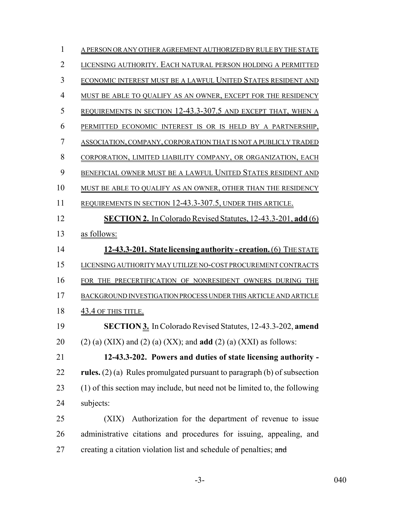| 1              | A PERSON OR ANY OTHER AGREEMENT AUTHORIZED BY RULE BY THE STATE            |
|----------------|----------------------------------------------------------------------------|
| $\overline{2}$ | LICENSING AUTHORITY. EACH NATURAL PERSON HOLDING A PERMITTED               |
| 3              | ECONOMIC INTEREST MUST BE A LAWFUL UNITED STATES RESIDENT AND              |
| $\overline{4}$ | MUST BE ABLE TO QUALIFY AS AN OWNER, EXCEPT FOR THE RESIDENCY              |
| 5              | REQUIREMENTS IN SECTION 12-43.3-307.5 AND EXCEPT THAT, WHEN A              |
| 6              | PERMITTED ECONOMIC INTEREST IS OR IS HELD BY A PARTNERSHIP,                |
| 7              | ASSOCIATION, COMPANY, CORPORATION THAT IS NOT A PUBLICLY TRADED            |
| 8              | CORPORATION, LIMITED LIABILITY COMPANY, OR ORGANIZATION, EACH              |
| 9              | BENEFICIAL OWNER MUST BE A LAWFUL UNITED STATES RESIDENT AND               |
| 10             | MUST BE ABLE TO QUALIFY AS AN OWNER, OTHER THAN THE RESIDENCY              |
| 11             | REQUIREMENTS IN SECTION 12-43.3-307.5, UNDER THIS ARTICLE.                 |
| 12             | <b>SECTION 2.</b> In Colorado Revised Statutes, 12-43.3-201, add (6)       |
| 13             | as follows:                                                                |
| 14             | 12-43.3-201. State licensing authority - creation. (6) THE STATE           |
| 15             | LICENSING AUTHORITY MAY UTILIZE NO-COST PROCUREMENT CONTRACTS              |
| 16             | FOR THE PRECERTIFICATION OF NONRESIDENT OWNERS DURING THE                  |
| 17             | BACKGROUND INVESTIGATION PROCESS UNDER THIS ARTICLE AND ARTICLE            |
| 18             | 43.4 OF THIS TITLE.                                                        |
| 19             | <b>SECTION 3.</b> In Colorado Revised Statutes, 12-43.3-202, amend         |
| 20             | $(2)$ (a) (XIX) and (2) (a) (XX); and <b>add</b> (2) (a) (XXI) as follows: |
| 21             | 12-43.3-202. Powers and duties of state licensing authority -              |
| 22             | rules. $(2)$ (a) Rules promulgated pursuant to paragraph (b) of subsection |
| 23             | (1) of this section may include, but need not be limited to, the following |
| 24             | subjects:                                                                  |
| 25             | Authorization for the department of revenue to issue<br>(XIX)              |
| 26             | administrative citations and procedures for issuing, appealing, and        |
| 27             | creating a citation violation list and schedule of penalties; and          |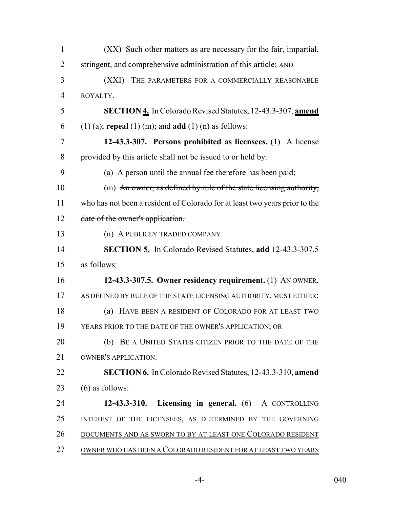| $\mathbf{1}$   | (XX) Such other matters as are necessary for the fair, impartial,           |
|----------------|-----------------------------------------------------------------------------|
| $\overline{2}$ | stringent, and comprehensive administration of this article; AND            |
| 3              | (XXI) THE PARAMETERS FOR A COMMERCIALLY REASONABLE                          |
| $\overline{4}$ | ROYALTY.                                                                    |
| 5              | <b>SECTION 4.</b> In Colorado Revised Statutes, 12-43.3-307, amend          |
| 6              | $(1)$ (a); repeal (1) (m); and add (1) (n) as follows:                      |
| 7              | 12-43.3-307. Persons prohibited as licensees. (1) A license                 |
| 8              | provided by this article shall not be issued to or held by:                 |
| 9              | (a) A person until the annual fee therefore has been paid;                  |
| 10             | (m) An owner, as defined by rule of the state licensing authority,          |
| 11             | who has not been a resident of Colorado for at least two years prior to the |
| 12             | date of the owner's application.                                            |
| 13             | (n) A PUBLICLY TRADED COMPANY.                                              |
| 14             | <b>SECTION 5.</b> In Colorado Revised Statutes, add 12-43.3-307.5           |
| 15             | as follows:                                                                 |
| 16             | 12-43.3-307.5. Owner residency requirement. (1) AN OWNER,                   |
| 17             | AS DEFINED BY RULE OF THE STATE LICENSING AUTHORITY, MUST EITHER:           |
| 18             | (a) HAVE BEEN A RESIDENT OF COLORADO FOR AT LEAST TWO                       |
| 19             | YEARS PRIOR TO THE DATE OF THE OWNER'S APPLICATION; OR                      |
| 20             | (b) BE A UNITED STATES CITIZEN PRIOR TO THE DATE OF THE                     |
| 21             | <b>OWNER'S APPLICATION.</b>                                                 |
| 22             | <b>SECTION 6.</b> In Colorado Revised Statutes, 12-43.3-310, amend          |
| 23             | $(6)$ as follows:                                                           |
| 24             | 12-43.3-310. Licensing in general. (6) A CONTROLLING                        |
| 25             | INTEREST OF THE LICENSEES, AS DETERMINED BY THE GOVERNING                   |
| 26             | <u>DOCUMENTS AND AS SWORN TO BY AT LEAST ONE COLORADO RESIDENT</u>          |
| 27             | OWNER WHO HAS BEEN A COLORADO RESIDENT FOR AT LEAST TWO YEARS               |

-4- 040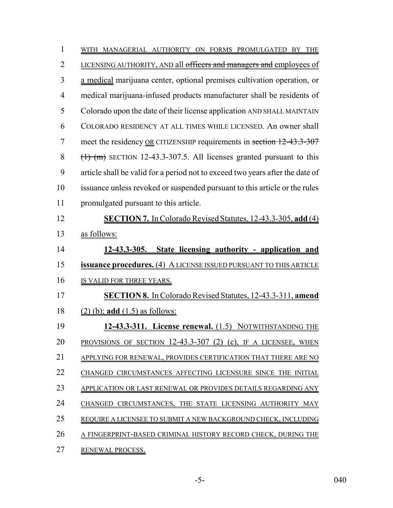| $\mathbf{1}$   | WITH MANAGERIAL AUTHORITY ON FORMS PROMULGATED BY THE                         |
|----------------|-------------------------------------------------------------------------------|
| $\overline{2}$ | LICENSING AUTHORITY, AND all officers and managers and employees of           |
| 3              | a medical marijuana center, optional premises cultivation operation, or       |
| $\overline{4}$ | medical marijuana-infused products manufacturer shall be residents of         |
| 5              | Colorado upon the date of their license application AND SHALL MAINTAIN        |
| 6              | COLORADO RESIDENCY AT ALL TIMES WHILE LICENSED. An owner shall                |
| 7              | meet the residency OR CITIZENSHIP requirements in section 12-43.3-307         |
| 8              | $(\text{1})$ (m) SECTION 12-43.3-307.5. All licenses granted pursuant to this |
| 9              | article shall be valid for a period not to exceed two years after the date of |
| 10             | issuance unless revoked or suspended pursuant to this article or the rules    |
| 11             | promulgated pursuant to this article.                                         |
| 12             | <b>SECTION 7.</b> In Colorado Revised Statutes, 12-43.3-305, add (4)          |
| 13             | as follows:                                                                   |
| 14             | <u>12-43.3-305. State licensing authority - application and</u>               |
| 15             | <b>issuance procedures.</b> (4) A LICENSE ISSUED PURSUANT TO THIS ARTICLE     |
| 16             | IS VALID FOR THREE YEARS.                                                     |
| 17             | <b>SECTION 8.</b> In Colorado Revised Statutes, 12-43.3-311, amend            |
| 18             | $(2)$ (b); add $(1.5)$ as follows:                                            |
| 19             | 12-43.3-311. License renewal. (1.5) NOTWITHSTANDING THE                       |
| 20             | PROVISIONS OF SECTION 12-43.3-307 (2) (c), IF A LICENSEE, WHEN                |
| 21             | APPLYING FOR RENEWAL, PROVIDES CERTIFICATION THAT THERE ARE NO                |
| 22             | CHANGED CIRCUMSTANCES AFFECTING LICENSURE SINCE THE INITIAL                   |
| 23             | APPLICATION OR LAST RENEWAL OR PROVIDES DETAILS REGARDING ANY                 |
| 24             | CHANGED CIRCUMSTANCES, THE STATE LICENSING AUTHORITY MAY                      |
| 25             | REQUIRE A LICENSEE TO SUBMIT A NEW BACKGROUND CHECK, INCLUDING                |
| 26             | A FINGERPRINT-BASED CRIMINAL HISTORY RECORD CHECK, DURING THE                 |
| 27             | RENEWAL PROCESS.                                                              |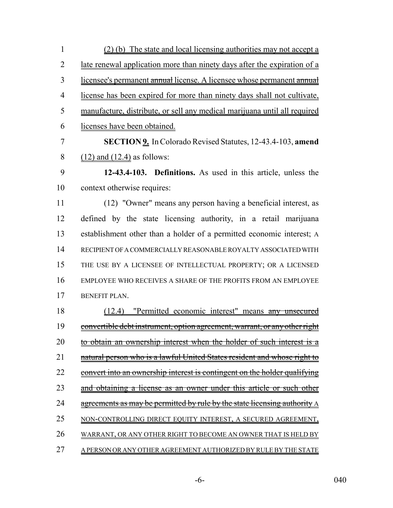| $\mathbf{1}$   | $(2)$ (b) The state and local licensing authorities may not accept a       |
|----------------|----------------------------------------------------------------------------|
| $\overline{2}$ | late renewal application more than ninety days after the expiration of a   |
| 3              | licensee's permanent annual license. A licensee whose permanent annual     |
| $\overline{4}$ | license has been expired for more than ninety days shall not cultivate,    |
| 5              | manufacture, distribute, or sell any medical marijuana until all required  |
| 6              | licenses have been obtained.                                               |
| 7              | <b>SECTION 9.</b> In Colorado Revised Statutes, 12-43.4-103, amend         |
| 8              | $(12)$ and $(12.4)$ as follows:                                            |
| 9              | 12-43.4-103. Definitions. As used in this article, unless the              |
| 10             | context otherwise requires:                                                |
| 11             | (12) "Owner" means any person having a beneficial interest, as             |
| 12             | defined by the state licensing authority, in a retail marijuana            |
| 13             | establishment other than a holder of a permitted economic interest; A      |
| 14             | RECIPIENT OF A COMMERCIALLY REASONABLE ROYALTY ASSOCIATED WITH             |
| 15             | THE USE BY A LICENSEE OF INTELLECTUAL PROPERTY; OR A LICENSED              |
| 16             | EMPLOYEE WHO RECEIVES A SHARE OF THE PROFITS FROM AN EMPLOYEE              |
| 17             | <b>BENEFIT PLAN.</b>                                                       |
| 18             | "Permitted economic interest" means any unsecured<br>(12.4)                |
| 19             | convertible debt instrument, option agreement, warrant, or any other right |
| 20             | obtain an ownership interest when the holder of such interest is a<br>to   |
| 21             | natural person who is a lawful United States resident and whose right to   |
| 22             | convert into an ownership interest is contingent on the holder qualifying  |
| 23             | obtaining a license as an owner under this article or such other           |
| 24             | agreements as may be permitted by rule by the state licensing authority A  |
| 25             | NON-CONTROLLING DIRECT EQUITY INTEREST, A SECURED AGREEMENT,               |
| 26             | WARRANT, OR ANY OTHER RIGHT TO BECOME AN OWNER THAT IS HELD BY             |
| 27             | A PERSON OR ANY OTHER AGREEMENT AUTHORIZED BY RULE BY THE STATE            |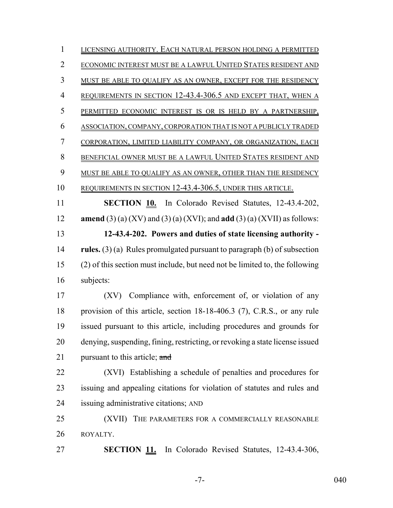LICENSING AUTHORITY. EACH NATURAL PERSON HOLDING A PERMITTED ECONOMIC INTEREST MUST BE A LAWFUL UNITED STATES RESIDENT AND MUST BE ABLE TO QUALIFY AS AN OWNER, EXCEPT FOR THE RESIDENCY REQUIREMENTS IN SECTION 12-43.4-306.5 AND EXCEPT THAT, WHEN A PERMITTED ECONOMIC INTEREST IS OR IS HELD BY A PARTNERSHIP, ASSOCIATION, COMPANY, CORPORATION THAT IS NOT A PUBLICLY TRADED CORPORATION, LIMITED LIABILITY COMPANY, OR ORGANIZATION, EACH BENEFICIAL OWNER MUST BE A LAWFUL UNITED STATES RESIDENT AND 9 MUST BE ABLE TO QUALIFY AS AN OWNER, OTHER THAN THE RESIDENCY REQUIREMENTS IN SECTION 12-43.4-306.5, UNDER THIS ARTICLE. **SECTION 10.** In Colorado Revised Statutes, 12-43.4-202, **amend** (3) (a) (XV) and (3) (a) (XVI); and **add** (3) (a) (XVII) as follows: **12-43.4-202. Powers and duties of state licensing authority - rules.** (3) (a) Rules promulgated pursuant to paragraph (b) of subsection (2) of this section must include, but need not be limited to, the following subjects: (XV) Compliance with, enforcement of, or violation of any provision of this article, section 18-18-406.3 (7), C.R.S., or any rule issued pursuant to this article, including procedures and grounds for denying, suspending, fining, restricting, or revoking a state license issued 21 pursuant to this article; and (XVI) Establishing a schedule of penalties and procedures for issuing and appealing citations for violation of statutes and rules and issuing administrative citations; AND (XVII) THE PARAMETERS FOR A COMMERCIALLY REASONABLE ROYALTY. **SECTION 11.** In Colorado Revised Statutes, 12-43.4-306,

-7- 040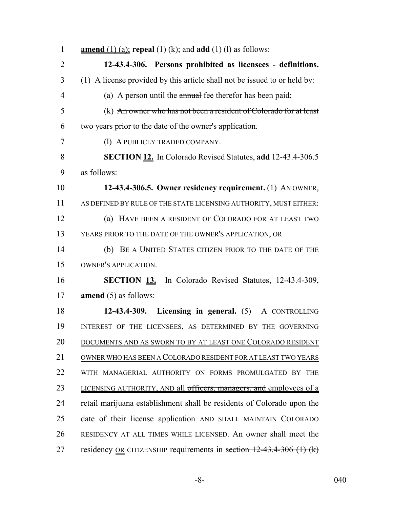| $\mathbf{1}$   | <b>amend</b> (1) (a); <b>repeal</b> (1) (k); and <b>add</b> (1) (l) as follows: |
|----------------|---------------------------------------------------------------------------------|
| $\overline{2}$ | 12-43.4-306. Persons prohibited as licensees - definitions.                     |
| 3              | (1) A license provided by this article shall not be issued to or held by:       |
| $\overline{4}$ | (a) A person until the annual fee therefor has been paid;                       |
| 5              | (k) An owner who has not been a resident of Colorado for at least               |
| 6              | two years prior to the date of the owner's application.                         |
| $\tau$         | (1) A PUBLICLY TRADED COMPANY.                                                  |
| 8              | <b>SECTION 12.</b> In Colorado Revised Statutes, add 12-43.4-306.5              |
| 9              | as follows:                                                                     |
| 10             | 12-43.4-306.5. Owner residency requirement. (1) ANOWNER,                        |
| 11             | AS DEFINED BY RULE OF THE STATE LICENSING AUTHORITY, MUST EITHER:               |
| 12             | (a) HAVE BEEN A RESIDENT OF COLORADO FOR AT LEAST TWO                           |
| 13             | YEARS PRIOR TO THE DATE OF THE OWNER'S APPLICATION; OR                          |
| 14             | (b) BE A UNITED STATES CITIZEN PRIOR TO THE DATE OF THE                         |
| 15             | OWNER'S APPLICATION.                                                            |
| 16             | <b>SECTION 13.</b> In Colorado Revised Statutes, 12-43.4-309,                   |
| 17             | <b>amend</b> $(5)$ as follows:                                                  |
| 18             | 12-43.4-309. Licensing in general. (5) A CONTROLLING                            |
| 19             | INTEREST OF THE LICENSEES, AS DETERMINED BY THE GOVERNING                       |
| 20             | DOCUMENTS AND AS SWORN TO BY AT LEAST ONE COLORADO RESIDENT                     |
| 21             | OWNER WHO HAS BEEN A COLORADO RESIDENT FOR AT LEAST TWO YEARS                   |
| 22             | WITH MANAGERIAL AUTHORITY ON FORMS PROMULGATED BY THE                           |
| 23             | LICENSING AUTHORITY, AND all officers, managers, and employees of a             |
| 24             | retail marijuana establishment shall be residents of Colorado upon the          |
| 25             | date of their license application AND SHALL MAINTAIN COLORADO                   |
| 26             | RESIDENCY AT ALL TIMES WHILE LICENSED. An owner shall meet the                  |
| 27             | residency <u>OR</u> CITIZENSHIP requirements in section $12-43.4-306$ (1) (k)   |